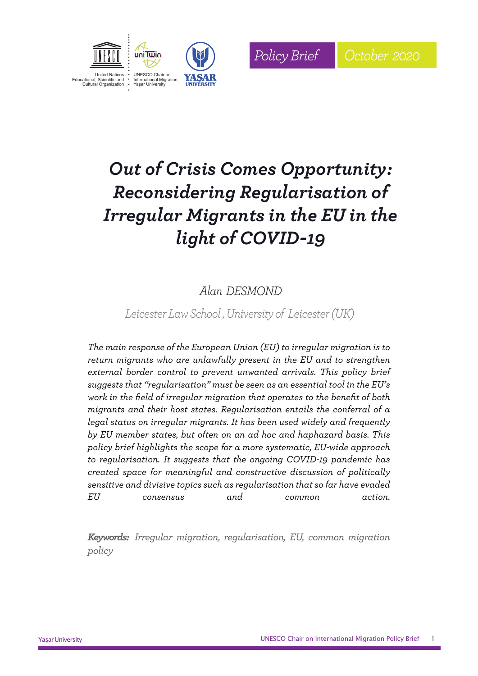



# *Out of Crisis Comes Opportunity: Reconsidering Regularisation of Irregular Migrants in the EU in the light of COVID-19*

## *Alan DESMOND*

*Leicester Law School , University of Leicester(UK)*

*The main response of the European Union (EU) to irregular migration is to return migrants who are unlawfully present in the EU and to strengthen external border control to prevent unwanted arrivals. This policy brief suggests that "regularisation" must be seen as an essential tool in the EU's work in the field of irregular migration that operates to the benefit of both migrants and their host states. Regularisation entails the conferral of a legal status on irregular migrants. It has been used widely and frequently by EU member states, but often on an ad hoc and haphazard basis. This policy brief highlights the scope for a more systematic, EU-wide approach to regularisation. It suggests that the ongoing COVID-19 pandemic has created space for meaningful and constructive discussion of politically sensitive and divisive topics such as regularisation that so far have evaded EU consensus and common action.*

*Keywords: Irregular migration, regularisation, EU, common migration policy*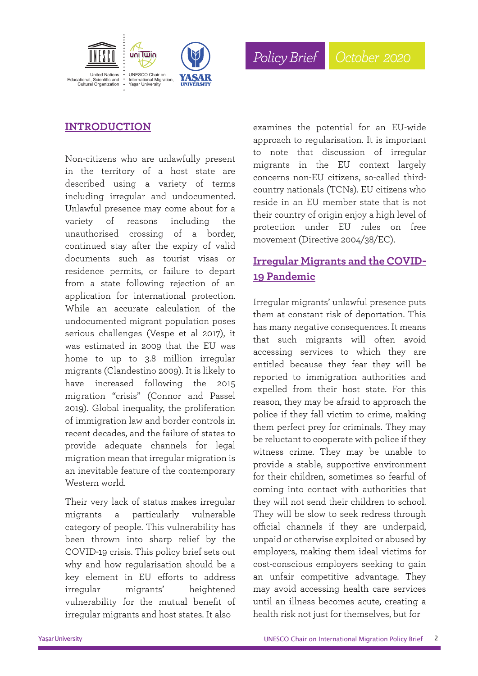



*2019*

#### **INTRODUCTION**

Non-citizens who are unlawfully present in the territory of a host state are described using a variety of terms including irregular and undocumented. Unlawful presence may come about for a variety of reasons including the unauthorised crossing of a border, continued stay after the expiry of valid documents such as tourist visas or residence permits, or failure to depart from a state following rejection of an application for international protection. While an accurate calculation of the undocumented migrant population poses serious challenges (Vespe et al 2017), it was estimated in 2009 that the EU was home to up to 3.8 million irregular migrants (Clandestino 2009). It is likely to have increased following the 2015 migration "crisis" (Connor and Passel 2019). Global inequality, the proliferation of immigration law and border controls in recent decades, and the failure of states to provide adequate channels for legal migration mean that irregular migration is an inevitable feature of the contemporary Western world.

Their very lack of status makes irregular migrants a particularly vulnerable category of people. This vulnerability has been thrown into sharp relief by the COVID-19 crisis. This policy brief sets out why and how regularisation should be a key element in EU efforts to address irregular migrants' heightened vulnerability for the mutual benefit of irregular migrants and host states. It also

examines the potential for an EU-wide approach to regularisation. It is important to note that discussion of irregular migrants in the EU context largely concerns non-EU citizens, so-called thirdcountry nationals (TCNs). EU citizens who reside in an EU member state that is not their country of origin enjoy a high level of protection under EU rules on free movement (Directive 2004/38/EC).

### **Irregular Migrants and the COVID-19 Pandemic**

Irregular migrants' unlawful presence puts them at constant risk of deportation. This has many negative consequences. It means that such migrants will often avoid accessing services to which they are entitled because they fear they will be reported to immigration authorities and expelled from their host state. For this reason, they may be afraid to approach the police if they fall victim to crime, making them perfect prey for criminals. They may be reluctant to cooperate with police if they witness crime. They may be unable to provide a stable, supportive environment for their children, sometimes so fearful of coming into contact with authorities that they will not send their children to school. They will be slow to seek redress through official channels if they are underpaid, unpaid or otherwise exploited or abused by employers, making them ideal victims for cost-conscious employers seeking to gain an unfair competitive advantage. They may avoid accessing health care services until an illness becomes acute, creating a health risk not just for themselves, but for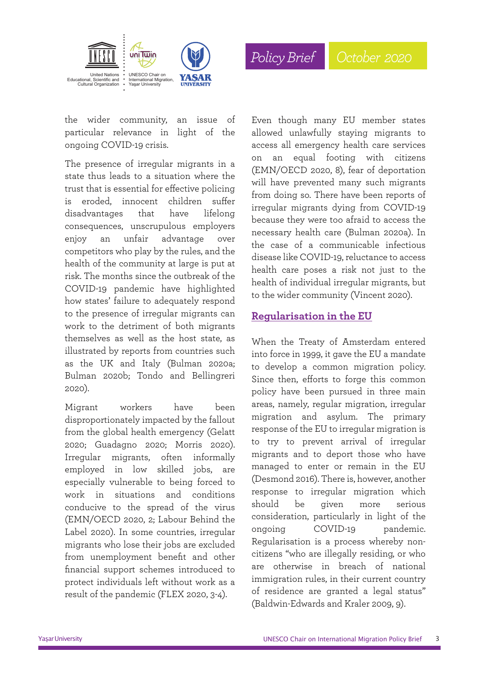

Even though many EU member states allowed unlawfully staying migrants to access all emergency health care services on an equal footing with citizens (EMN/OECD 2020, 8), fear of deportation will have prevented many such migrants from doing so. There have been reports of irregular migrants dying from COVID-19

*PolicyBrief October 2020*

because they were too afraid to access the necessary health care (Bulman 2020a). In the case of a communicable infectious disease like COVID-19, reluctance to access health care poses a risk not just to the health of individual irregular migrants, but to the wider community (Vincent 2020).

the wider community, an issue of particular relevance in light of the ongoing COVID-19 crisis.

The presence of irregular migrants in a state thus leads to a situation where the trust that is essential for effective policing is eroded, innocent children suffer disadvantages that have lifelong consequences, unscrupulous employers enjoy an unfair advantage over competitors who play by the rules, and the health of the community at large is put at risk. The months since the outbreak of the COVID-19 pandemic have highlighted how states' failure to adequately respond to the presence of irregular migrants can work to the detriment of both migrants themselves as well as the host state, as illustrated by reports from countries such as the UK and Italy (Bulman 2020a; Bulman 2020b; Tondo and Bellingreri 2020).

Migrant workers have been disproportionately impacted by the fallout from the global health emergency (Gelatt 2020; Guadagno 2020; Morris 2020). Irregular migrants, often informally employed in low skilled jobs, are especially vulnerable to being forced to work in situations and conditions conducive to the spread of the virus (EMN/OECD 2020, 2; Labour Behind the Label 2020). In some countries, irregular migrants who lose their jobs are excluded from unemployment benefit and other financial support schemes introduced to protect individuals left without work as a result of the pandemic (FLEX 2020, 3-4).

#### **Regularisation in the EU**

When the Treaty of Amsterdam entered into force in 1999, it gave the EU a mandate to develop a common migration policy. Since then, efforts to forge this common policy have been pursued in three main areas, namely, regular migration, irregular migration and asylum. The primary response of the EU to irregular migration is to try to prevent arrival of irregular migrants and to deport those who have managed to enter or remain in the EU (Desmond 2016). There is, however, another response to irregular migration which should be given more serious consideration, particularly in light of the ongoing COVID-19 pandemic. Regularisation is a process whereby noncitizens "who are illegally residing, or who are otherwise in breach of national immigration rules, in their current country of residence are granted a legal status" (Baldwin-Edwards and Kraler 2009, 9).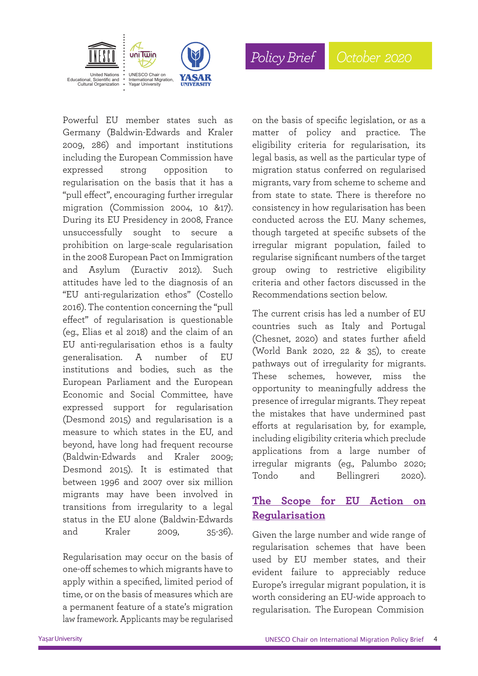

Powerful EU member states such as Germany (Baldwin-Edwards and Kraler 2009, 286) and important institutions including the European Commission have expressed strong opposition to regularisation on the basis that it has a "pull effect", encouraging further irregular migration (Commission 2004, 10 &17). During its EU Presidency in 2008, France unsuccessfully sought to secure a prohibition on large-scale regularisation in the 2008 European Pact on Immigration and Asylum (Euractiv 2012). Such attitudes have led to the diagnosis of an "EU anti-regularization ethos" (Costello 2016). The contention concerning the "pull effect" of regularisation is questionable (eg., Elias et al 2018) and the claim of an EU anti-regularisation ethos is a faulty generalisation. A number of EU institutions and bodies, such as the European Parliament and the European Economic and Social Committee, have expressed support for regularisation (Desmond 2015) and regularisation is a measure to which states in the EU, and beyond, have long had frequent recourse (Baldwin-Edwards and Kraler 2009; Desmond 2015). It is estimated that between 1996 and 2007 over six million migrants may have been involved in transitions from irregularity to a legal status in the EU alone (Baldwin-Edwards and Kraler 2009, 35-36).

Regularisation may occur on the basis of one-off schemes to which migrants have to apply within a specified, limited period of time, or on the basis of measures which are a permanent feature of a state's migration law framework. Applicants may be regularised on the basis of specific legislation, or as a matter of policy and practice. The eligibility criteria for regularisation, its legal basis, as well as the particular type of migration status conferred on regularised migrants, vary from scheme to scheme and from state to state. There is therefore no consistency in how regularisation has been conducted across the EU. Many schemes, though targeted at specific subsets of the irregular migrant population, failed to regularise significant numbers of the target group owing to restrictive eligibility criteria and other factors discussed in the Recommendations section below.

*PolicyBrief October 2020*

The current crisis has led a number of EU countries such as Italy and Portugal (Chesnet, 2020) and states further afield (World Bank 2020, 22 & 35), to create pathways out of irregularity for migrants. These schemes, however, miss the opportunity to meaningfully address the presence of irregular migrants. They repeat the mistakes that have undermined past efforts at regularisation by, for example, including eligibility criteria which preclude applications from a large number of irregular migrants (eg., Palumbo 2020; Tondo and Bellingreri 2020).

#### **The Scope for EU Action on Regularisation**

Given the large number and wide range of regularisation schemes that have been used by EU member states, and their evident failure to appreciably reduce Europe's irregular migrant population, it is worth considering an EU-wide approach to regularisation. The European Commision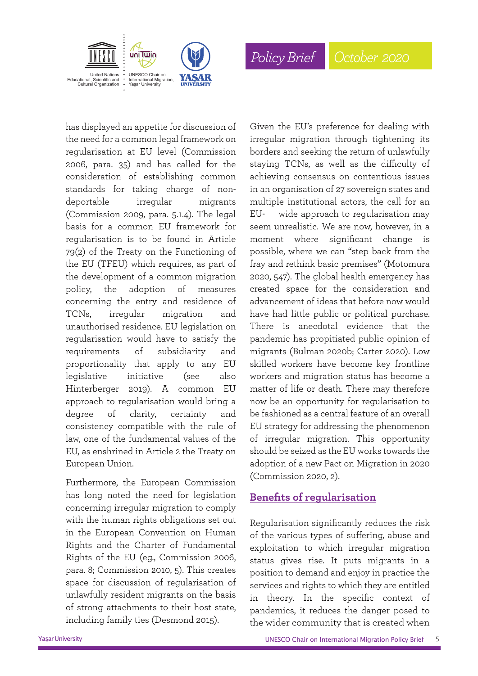

has displayed an appetite for discussion of the need for a common legal framework on regularisation at EU level (Commission 2006, para. 35) and has called for the consideration of establishing common standards for taking charge of nondeportable irregular migrants (Commission 2009, para. 5.1.4). The legal basis for a common EU framework for regularisation is to be found in Article 79(2) of the Treaty on the Functioning of the EU (TFEU) which requires, as part of the development of a common migration policy, the adoption of measures concerning the entry and residence of TCNs, irregular migration and unauthorised residence. EU legislation on regularisation would have to satisfy the requirements of subsidiarity and proportionality that apply to any EU legislative initiative (see also Hinterberger 2019). A common EU approach to regularisation would bring a degree of clarity, certainty and consistency compatible with the rule of law, one of the fundamental values of the EU, as enshrined in Article 2 the Treaty on European Union.

Furthermore, the European Commission has long noted the need for legislation concerning irregular migration to comply with the human rights obligations set out in the European Convention on Human Rights and the Charter of Fundamental Rights of the EU (eg., Commission 2006, para. 8; Commission 2010, 5). This creates space for discussion of regularisation of unlawfully resident migrants on the basis of strong attachments to their host state, including family ties (Desmond 2015).

Given the EU's preference for dealing with irregular migration through tightening its borders and seeking the return of unlawfully staying TCNs, as well as the difficulty of achieving consensus on contentious issues in an organisation of 27 sovereign states and multiple institutional actors, the call for an EU- wide approach to regularisation may seem unrealistic. We are now, however, in a moment where significant change is possible, where we can "step back from the fray and rethink basic premises" (Motomura 2020, 547). The global health emergency has created space for the consideration and advancement of ideas that before now would have had little public or political purchase. There is anecdotal evidence that the pandemic has propitiated public opinion of migrants (Bulman 2020b; Carter 2020). Low skilled workers have become key frontline workers and migration status has become a matter of life or death. There may therefore now be an opportunity for regularisation to be fashioned as a central feature of an overall EU strategy for addressing the phenomenon of irregular migration. This opportunity should be seized as the EU works towards the adoption of a new Pact on Migration in 2020 (Commission 2020, 2).

#### **Benefits of regularisation**

Regularisation significantly reduces the risk of the various types of suffering, abuse and exploitation to which irregular migration status gives rise. It puts migrants in a position to demand and enjoy in practice the services and rights to which they are entitled in theory. In the specific context of pandemics, it reduces the danger posed to the wider community that is created when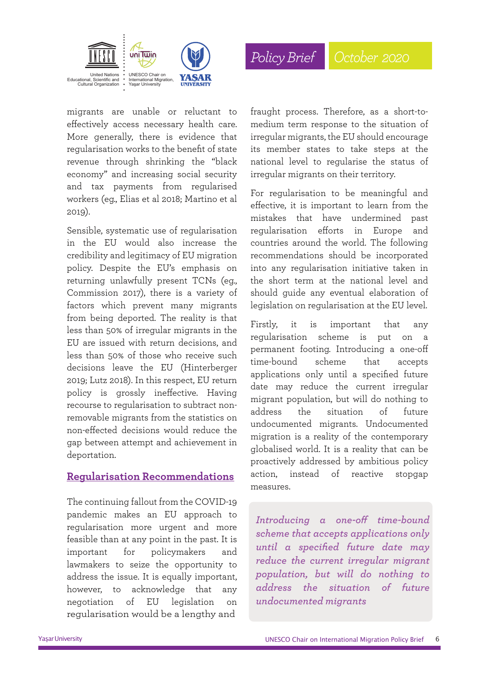



migrants are unable or reluctant to effectively access necessary health care. More generally, there is evidence that regularisation works to the benefit of state revenue through shrinking the "black economy" and increasing social security and tax payments from regularised workers (eg., Elias et al 2018; Martino et al 2019).

Sensible, systematic use of regularisation in the EU would also increase the credibility and legitimacy of EU migration policy. Despite the EU's emphasis on returning unlawfully present TCNs (eg., Commission 2017), there is a variety of factors which prevent many migrants from being deported. The reality is that less than 50% of irregular migrants in the EU are issued with return decisions, and less than 50% of those who receive such decisions leave the EU (Hinterberger 2019; Lutz 2018). In this respect, EU return policy is grossly ineffective. Having recourse to regularisation to subtract nonremovable migrants from the statistics on non-effected decisions would reduce the gap between attempt and achievement in deportation.

#### **Regularisation Recommendations**

The continuing fallout from the COVID-19 pandemic makes an EU approach to regularisation more urgent and more feasible than at any point in the past. It is important for policymakers and lawmakers to seize the opportunity to address the issue. It is equally important, however, to acknowledge that any negotiation of EU legislation on regularisation would be a lengthy and

fraught process. Therefore, as a short-tomedium term response to the situation of irregular migrants, the EU should encourage its member states to take steps at the national level to regularise the status of irregular migrants on their territory.

For regularisation to be meaningful and effective, it is important to learn from the mistakes that have undermined past regularisation efforts in Europe and countries around the world. The following recommendations should be incorporated into any regularisation initiative taken in the short term at the national level and should guide any eventual elaboration of legislation on regularisation at the EU level.

Firstly, it is important that any regularisation scheme is put on a permanent footing. Introducing a one-off time-bound scheme that accepts applications only until a specified future date may reduce the current irregular migrant population, but will do nothing to address the situation of future undocumented migrants. Undocumented migration is a reality of the contemporary globalised world. It is a reality that can be proactively addressed by ambitious policy action, instead of reactive stopgap measures.

*Introducing a one-off time-bound scheme that accepts applications only until a specified future date may reduce the current irregular migrant population, but will do nothing to address the situation of future undocumented migrants*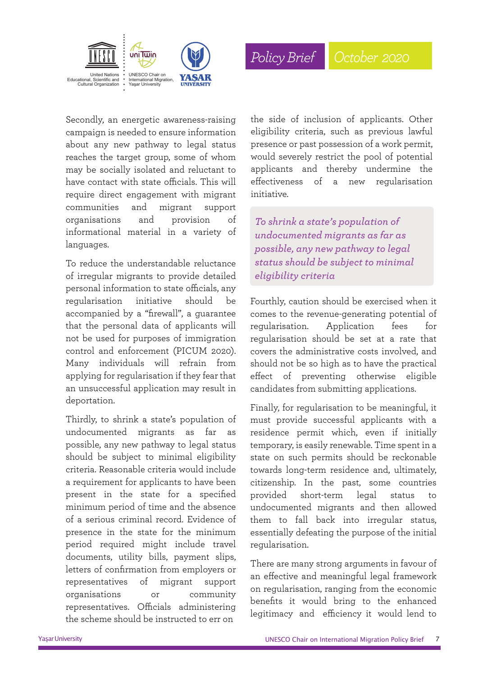

Secondly, an energetic awareness-raising campaign is needed to ensure information about any new pathway to legal status reaches the target group, some of whom may be socially isolated and reluctant to have contact with state officials. This will require direct engagement with migrant communities and migrant support organisations and provision of informational material in a variety of languages.

To reduce the understandable reluctance of irregular migrants to provide detailed personal information to state officials, any regularisation initiative should be accompanied by a "firewall", a guarantee that the personal data of applicants will not be used for purposes of immigration control and enforcement (PICUM 2020). Many individuals will refrain from applying for regularisation if they fear that an unsuccessful application may result in deportation.

Thirdly, to shrink a state's population of undocumented migrants as far as possible, any new pathway to legal status should be subject to minimal eligibility criteria. Reasonable criteria would include a requirement for applicants to have been present in the state for a specified minimum period of time and the absence of a serious criminal record. Evidence of presence in the state for the minimum period required might include travel documents, utility bills, payment slips, letters of confirmation from employers or representatives of migrant support organisations or community representatives. Officials administering the scheme should be instructed to err on

the side of inclusion of applicants. Other eligibility criteria, such as previous lawful presence or past possession of a work permit, would severely restrict the pool of potential applicants and thereby undermine the effectiveness of a new regularisation initiative.

*To shrink a state's population of undocumented migrants as far as possible, any new pathway to legal status should be subject to minimal eligibility criteria*

Fourthly, caution should be exercised when it comes to the revenue-generating potential of regularisation. Application fees for regularisation should be set at a rate that covers the administrative costs involved, and should not be so high as to have the practical effect of preventing otherwise eligible candidates from submitting applications.

Finally, for regularisation to be meaningful, it must provide successful applicants with a residence permit which, even if initially temporary, is easily renewable. Time spent in a state on such permits should be reckonable towards long-term residence and, ultimately, citizenship. In the past, some countries provided short-term legal status to undocumented migrants and then allowed them to fall back into irregular status, essentially defeating the purpose of the initial regularisation.

There are many strong arguments in favour of an effective and meaningful legal framework on regularisation, ranging from the economic benefits it would bring to the enhanced legitimacy and efficiency it would lend to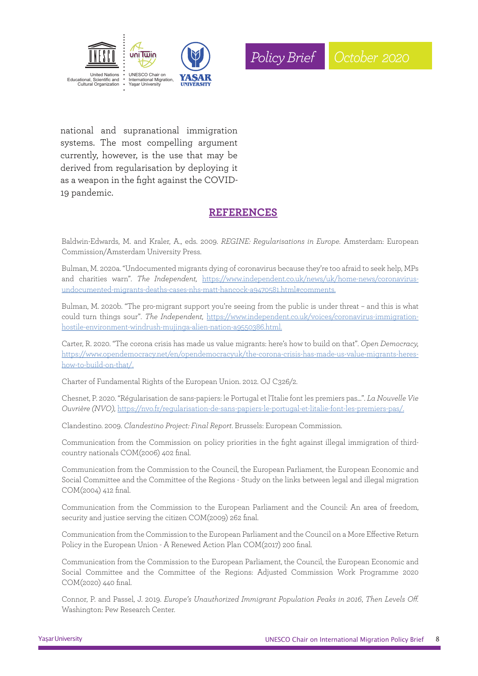



national and supranational immigration systems. The most compelling argument currently, however, is the use that may be derived from regularisation by deploying it as a weapon in the fight against the COVID-19 pandemic.

#### **REFERENCES**

Baldwin-Edwards, M. and Kraler, A., eds. 2009. *REGINE: Regularisations in Europe.* Amsterdam: European Commission/Amsterdam University Press.

Bulman, M. 2020a. "Undocumented migrants dying of coronavirus because they're too afraid to seek help, MPs and charities warn". *The Independent,* https://www.independent.co.uk/news/uk/home-news/coronavirusundocumented-migrants-deaths-cases-nhs-matt-hancock-a9470581.html#comments.

Bulman, M. 2020b. "The pro-migrant support you're seeing from the public is under threat – and this is what could turn things sour". *The Independent,* https://www.independent.co.uk/voices/coronavirus-immigrationhostile-environment-windrush-mujinga-alien-nation-a9550386.html.

Carter, R. 2020. "The corona crisis has made us value migrants: here's how to build on that". *Open Democracy,* https://www.opendemocracy.net/en/opendemocracyuk/the-corona-crisis-has-made-us-value-migrants-hereshow-to-build-on-that/.

Charter of Fundamental Rights of the European Union. 2012. OJ C326/2.

Chesnet, P. 2020. "Régularisation de sans-papiers: le Portugal et l'Italie font les premiers pas…". *La Nouvelle Vie Ouvrière (NVO),* https://nvo.fr/regularisation-de-sans-papiers-le-portugal-et-litalie-font-les-premiers-pas/.

Clandestino. 2009. *Clandestino Project: Final Report*. Brussels: European Commission.

Communication from the Commission on policy priorities in the fight against illegal immigration of thirdcountry nationals COM(2006) 402 final.

Communication from the Commission to the Council, the European Parliament, the European Economic and Social Committee and the Committee of the Regions - Study on the links between legal and illegal migration COM(2004) 412 final.

Communication from the Commission to the European Parliament and the Council: An area of freedom, security and justice serving the citizen COM(2009) 262 final.

Communication from the Commission to the European Parliament and the Council on a More Effective Return Policy in the European Union - A Renewed Action Plan COM(2017) 200 final.

Communication from the Commission to the European Parliament, the Council, the European Economic and Social Committee and the Committee of the Regions: Adjusted Commission Work Programme 2020 COM(2020) 440 final.

Connor, P. and Passel, J. 2019. *Europe's Unauthorized Immigrant Population Peaks in 2016*, *Then Levels Off.* Washington: Pew Research Center.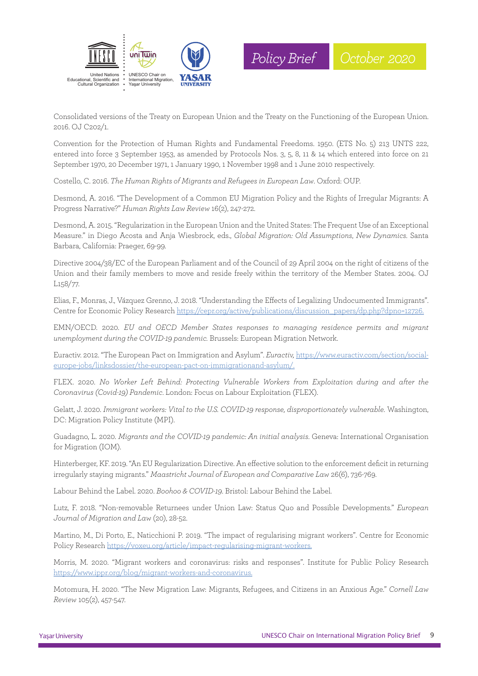



Consolidated versions of the Treaty on European Union and the Treaty on the Functioning of the European Union. 2016. OJ C202/1.

Convention for the Protection of Human Rights and Fundamental Freedoms. 1950. (ETS No. 5) 213 UNTS 222, entered into force 3 September 1953, as amended by Protocols Nos. 3, 5, 8, 11 & 14 which entered into force on 21 September 1970, 20 December 1971, 1 January 1990, 1 November 1998 and 1 June 2010 respectively.

Costello, C. 2016. *The Human Rights of Migrants and Refugees in European Law*. Oxford: OUP.

Desmond, A. 2016. "The Development of a Common EU Migration Policy and the Rights of Irregular Migrants: A Progress Narrative?" *Human Rights Law Review* 16(2), 247-272.

Desmond, A. 2015. "Regularization in the European Union and the United States: The Frequent Use of an Exceptional Measure." in Diego Acosta and Anja Wiesbrock, eds., *Global Migration: Old Assumptions*, *New Dynamics.* Santa Barbara, California: Praeger, 69-99.

Directive 2004/38/EC of the European Parliament and of the Council of 29 April 2004 on the right of citizens of the Union and their family members to move and reside freely within the territory of the Member States. 2004. OJ L158/77.

Elias, F., Monras, J., Vázquez Grenno, J. 2018. "Understanding the Effects of Legalizing Undocumented Immigrants". Centre for Economic Policy Research https://cepr.org/active/publications/discussion\_papers/dp.php?dpno=12726.

EMN/OECD. 2020. *EU and OECD Member States responses to managing residence permits and migrant unemployment during the COVID-19 pandemic.* Brussels: European Migration Network.

Euractiv. 2012. "The European Pact on Immigration and Asylum". *Euractiv,* https://www.euractiv.com/section/socialeurope-jobs/linksdossier/the-european-pact-on-immigrationand-asylum/.

FLEX. 2020. *No Worker Left Behind: Protecting Vulnerable Workers from Exploitation during and after the Coronavirus (Covid-19) Pandemic*. London: Focus on Labour Exploitation (FLEX).

Gelatt, J. 2020. *Immigrant workers: Vital to the U.S. COVID-19 response, disproportionately vulnerable.* Washington, DC: Migration Policy Institute (MPI).

Guadagno, L. 2020. *Migrants and the COVID-19 pandemic: An initial analysis*. Geneva: International Organisation for Migration (IOM).

Hinterberger, KF. 2019. "An EU Regularization Directive. An effective solution to the enforcement deficit in returning irregularly staying migrants." *Maastricht Journal of European and Comparative Law* 26(6), 736-769.

Labour Behind the Label. 2020. *Boohoo & COVID-19*. Bristol: Labour Behind the Label.

Lutz, F. 2018. "Non-removable Returnees under Union Law: Status Quo and Possible Developments." *European Journal of Migration and Law* (20), 28-52.

Martino, M., Di Porto, E., Naticchioni P. 2019. "The impact of regularising migrant workers". Centre for Economic Policy Research https://voxeu.org/article/impact-regularising-migrant-workers.

Morris, M. 2020. "Migrant workers and coronavirus: risks and responses". Institute for Public Policy Research https://www.ippr.org/blog/migrant-workers-and-coronavirus.

Motomura, H. 2020. "The New Migration Law: Migrants, Refugees, and Citizens in an Anxious Age." *Cornell Law Review* 105(2), 457-547.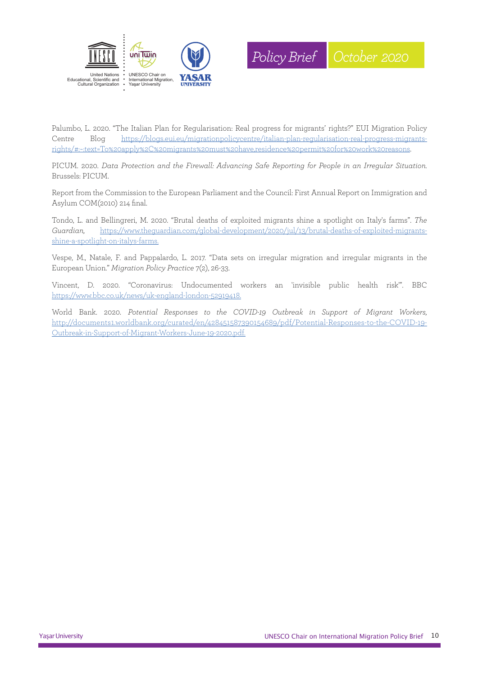



Palumbo, L. 2020. "The Italian Plan for Regularisation: Real progress for migrants' rights?" EUI Migration Policy Centre Blog https://blogs.eui.eu/migrationpolicycentre/italian-plan-regularisation-real-progress-migrantsrights/#:~:text=To%20apply%2C%20migrants%20must%20have,residence%20permit%20for%20work%20reasons.

PICUM. 2020. *Data Protection and the Firewall: Advancing Safe Reporting for People in an Irregular Situation.* Brussels: PICUM.

Report from the Commission to the European Parliament and the Council: First Annual Report on Immigration and Asylum COM(2010) 214 final.

Tondo, L. and Bellingreri, M. 2020. "Brutal deaths of exploited migrants shine a spotlight on Italy's farms". *The Guardian,* https://www.theguardian.com/global-development/2020/jul/13/brutal-deaths-of-exploited-migrantsshine-a-spotlight-on-italys-farms.

Vespe, M., Natale, F. and Pappalardo, L. 2017. "Data sets on irregular migration and irregular migrants in the European Union." *Migration Policy Practice* 7(2), 26-33.

Vincent, D. 2020. "Coronavirus: Undocumented workers an 'invisible public health risk'". BBC https://www.bbc.co.uk/news/uk-england-london-52919418.

World Bank. 2020. *Potential Responses to the COVID-19 Outbreak in Support of Migrant Workers,* http://documents1.worldbank.org/curated/en/428451587390154689/pdf/Potential-Responses-to-the-COVID-19- Outbreak-in-Support-of-Migrant-Workers-June-19-2020.pdf.